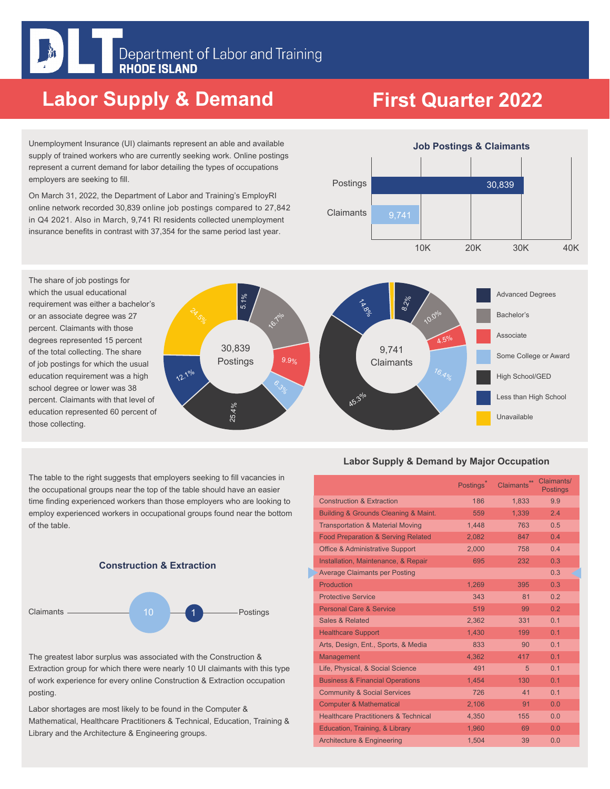### **Labor Supply & Demand**

## **First Quarter 2022**

Unemployment Insurance (UI) claimants represent an able and available supply of trained workers who are currently seeking work. Online postings represent a current demand for labor detailing the types of occupations employers are seeking to fill.

On March 31, 2022, the Department of Labor and Training's EmployRI online network recorded 30,839 online job postings compared to 27,842 in Q4 2021. Also in March, 9,741 RI residents collected unemployment insurance benefits in contrast with 37,354 for the same period last year.



The table to the right suggests that employers seeking to fill vacancies in the occupational groups near the top of the table should have an easier time finding experienced workers than those employers who are looking to employ experienced workers in occupational groups found near the bottom of the table.





The greatest labor surplus was associated with the Construction & Extraction group for which there were nearly 10 UI claimants with this type of work experience for every online Construction & Extraction occupation posting.

Labor shortages are most likely to be found in the Computer & Mathematical, Healthcare Practitioners & Technical, Education, Training & Library and the Architecture & Engineering groups.

#### **Labor Supply & Demand by Major Occupation**

|                                                 | Postings <sup>*</sup> | $**$<br>Claimants | Claimants/<br><b>Postings</b> |
|-------------------------------------------------|-----------------------|-------------------|-------------------------------|
| <b>Construction &amp; Extraction</b>            | 186                   | 1,833             | 9.9                           |
| Building & Grounds Cleaning & Maint.            | 559                   | 1,339             | 2.4                           |
| <b>Transportation &amp; Material Moving</b>     | 1.448                 | 763               | 0.5                           |
| <b>Food Preparation &amp; Serving Related</b>   | 2,082                 | 847               | 0.4                           |
| <b>Office &amp; Administrative Support</b>      | 2,000                 | 758               | 0.4                           |
| Installation, Maintenance, & Repair             | 695                   | 232               | 0.3                           |
| <b>Average Claimants per Posting</b>            |                       |                   | 0.3                           |
| Production                                      | 1.269                 | 395               | 0.3                           |
| <b>Protective Service</b>                       | 343                   | 81                | 0.2                           |
| <b>Personal Care &amp; Service</b>              | 519                   | 99                | 0.2                           |
| Sales & Related                                 | 2.362                 | 331               | 0.1                           |
| <b>Healthcare Support</b>                       | 1.430                 | 199               | 0.1                           |
| Arts, Design, Ent., Sports, & Media             | 833                   | 90                | 0.1                           |
| Management                                      | 4,362                 | 417               | 0.1                           |
| Life, Physical, & Social Science                | 491                   | 5                 | 0.1                           |
| <b>Business &amp; Financial Operations</b>      | 1.454                 | 130               | 0.1                           |
| <b>Community &amp; Social Services</b>          | 726                   | 41                | 0.1                           |
| <b>Computer &amp; Mathematical</b>              | 2,106                 | 91                | 0.0                           |
| <b>Healthcare Practitioners &amp; Technical</b> | 4,350                 | 155               | 0.0                           |
| Education, Training, & Library                  | 1.960                 | 69                | 0.0                           |
| <b>Architecture &amp; Engineering</b>           | 1,504                 | 39                | 0.0                           |